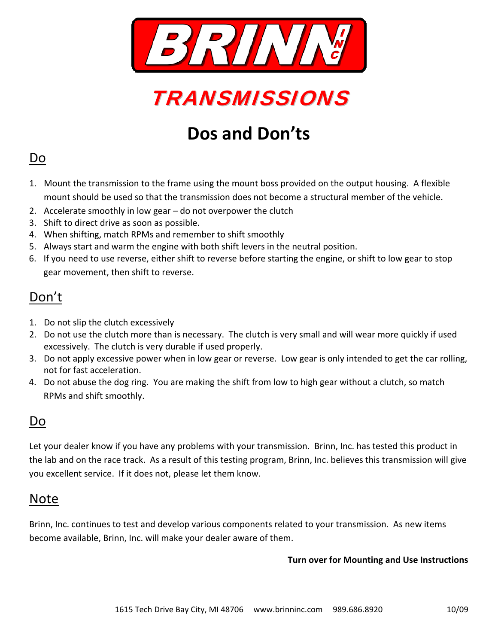



## **Dos and Don'ts**

#### Do

- 1. Mount the transmission to the frame using the mount boss provided on the output housing. A flexible mount should be used so that the transmission does not become a structural member of the vehicle.
- 2. Accelerate smoothly in low gear do not overpower the clutch
- 3. Shift to direct drive as soon as possible.
- 4. When shifting, match RPMs and remember to shift smoothly
- 5. Always start and warm the engine with both shift levers in the neutral position.
- 6. If you need to use reverse, either shift to reverse before starting the engine, or shift to low gear to stop gear movement, then shift to reverse.

## Don't

- 1. Do not slip the clutch excessively
- 2. Do not use the clutch more than is necessary. The clutch is very small and will wear more quickly if used excessively. The clutch is very durable if used properly.
- 3. Do not apply excessive power when in low gear or reverse. Low gear is only intended to get the car rolling, not for fast acceleration.
- 4. Do not abuse the dog ring. You are making the shift from low to high gear without a clutch, so match RPMs and shift smoothly.

#### Do

Let your dealer know if you have any problems with your transmission. Brinn, Inc. has tested this product in the lab and on the race track. As a result of this testing program, Brinn, Inc. believes this transmission will give you excellent service. If it does not, please let them know.

### Note

Brinn, Inc. continues to test and develop various components related to your transmission. As new items become available, Brinn, Inc. will make your dealer aware of them.

#### **Turn over for Mounting and Use Instructions**